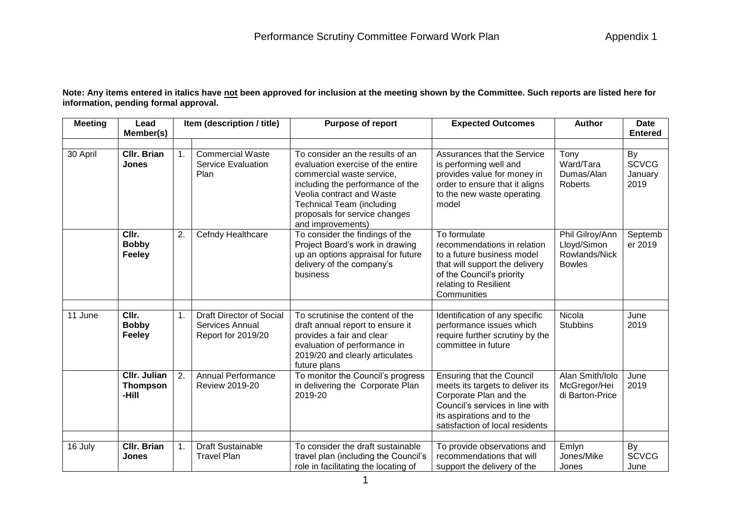**Note: Any items entered in italics have not been approved for inclusion at the meeting shown by the Committee. Such reports are listed here for information, pending formal approval.**

| <b>Meeting</b> | Lead                                            | Item (description / title) |                                                                                 | <b>Purpose of report</b>                                                                                                                                                                                                                                      | <b>Expected Outcomes</b>                                                                                                                                                                           | <b>Author</b>                                                    | <b>Date</b>                           |
|----------------|-------------------------------------------------|----------------------------|---------------------------------------------------------------------------------|---------------------------------------------------------------------------------------------------------------------------------------------------------------------------------------------------------------------------------------------------------------|----------------------------------------------------------------------------------------------------------------------------------------------------------------------------------------------------|------------------------------------------------------------------|---------------------------------------|
|                | Member(s)                                       |                            |                                                                                 |                                                                                                                                                                                                                                                               |                                                                                                                                                                                                    |                                                                  | <b>Entered</b>                        |
| 30 April       | <b>CIIr. Brian</b><br><b>Jones</b>              | $\mathbf{1}$ .             | <b>Commercial Waste</b><br>Service Evaluation<br>Plan                           | To consider an the results of an<br>evaluation exercise of the entire<br>commercial waste service,<br>including the performance of the<br>Veolia contract and Waste<br><b>Technical Team (including</b><br>proposals for service changes<br>and improvements) | Assurances that the Service<br>is performing well and<br>provides value for money in<br>order to ensure that it aligns<br>to the new waste operating<br>model                                      | Tony<br>Ward/Tara<br>Dumas/Alan<br>Roberts                       | By<br><b>SCVCG</b><br>January<br>2019 |
|                | CIIr.<br><b>Bobby</b><br><b>Feeley</b>          | 2.                         | Cefndy Healthcare                                                               | To consider the findings of the<br>Project Board's work in drawing<br>up an options appraisal for future<br>delivery of the company's<br>business                                                                                                             | To formulate<br>recommendations in relation<br>to a future business model<br>that will support the delivery<br>of the Council's priority<br>relating to Resilient<br>Communities                   | Phil Gilroy/Ann<br>Lloyd/Simon<br>Rowlands/Nick<br><b>Bowles</b> | Septemb<br>er 2019                    |
| 11 June        | CIIr.<br><b>Bobby</b><br><b>Feeley</b>          | 1.                         | <b>Draft Director of Social</b><br><b>Services Annual</b><br>Report for 2019/20 | To scrutinise the content of the<br>draft annual report to ensure it<br>provides a fair and clear<br>evaluation of performance in<br>2019/20 and clearly articulates<br>future plans                                                                          | Identification of any specific<br>performance issues which<br>require further scrutiny by the<br>committee in future                                                                               | Nicola<br><b>Stubbins</b>                                        | June<br>2019                          |
|                | <b>CIIr. Julian</b><br><b>Thompson</b><br>-Hill | 2.                         | <b>Annual Performance</b><br><b>Review 2019-20</b>                              | To monitor the Council's progress<br>in delivering the Corporate Plan<br>2019-20                                                                                                                                                                              | <b>Ensuring that the Council</b><br>meets its targets to deliver its<br>Corporate Plan and the<br>Council's services in line with<br>its aspirations and to the<br>satisfaction of local residents | Alan Smith/Iolo<br>McGregor/Hei<br>di Barton-Price               | June<br>2019                          |
| 16 July        | <b>CIIr. Brian</b><br><b>Jones</b>              | 1.                         | <b>Draft Sustainable</b><br><b>Travel Plan</b>                                  | To consider the draft sustainable<br>travel plan (including the Council's<br>role in facilitating the locating of                                                                                                                                             | To provide observations and<br>recommendations that will<br>support the delivery of the                                                                                                            | Emlyn<br>Jones/Mike<br>Jones                                     | By<br><b>SCVCG</b><br>June            |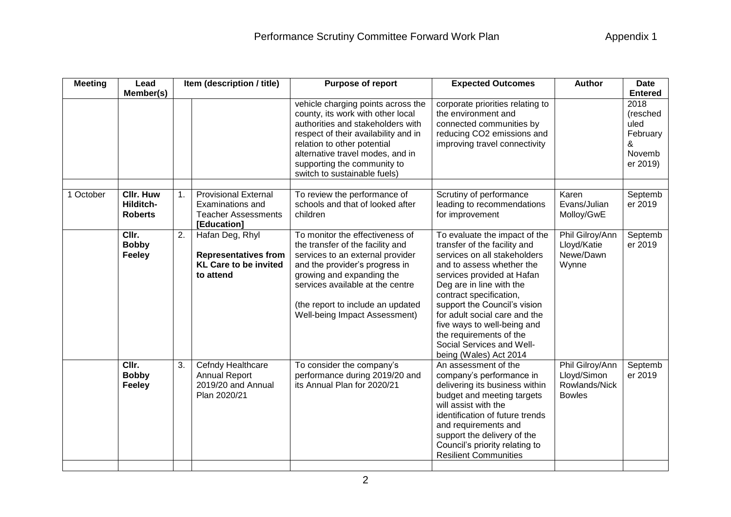| <b>Meeting</b> | Lead                                            |    | Item (description / title)                                                                   | Purpose of report                                                                                                                                                                                                                                                                      | <b>Expected Outcomes</b>                                                                                                                                                                                                                                                                                                                                                                          | <b>Author</b>                                                    | <b>Date</b>                                                                       |
|----------------|-------------------------------------------------|----|----------------------------------------------------------------------------------------------|----------------------------------------------------------------------------------------------------------------------------------------------------------------------------------------------------------------------------------------------------------------------------------------|---------------------------------------------------------------------------------------------------------------------------------------------------------------------------------------------------------------------------------------------------------------------------------------------------------------------------------------------------------------------------------------------------|------------------------------------------------------------------|-----------------------------------------------------------------------------------|
|                | Member(s)                                       |    |                                                                                              | vehicle charging points across the<br>county, its work with other local<br>authorities and stakeholders with<br>respect of their availability and in<br>relation to other potential<br>alternative travel modes, and in<br>supporting the community to<br>switch to sustainable fuels) | corporate priorities relating to<br>the environment and<br>connected communities by<br>reducing CO2 emissions and<br>improving travel connectivity                                                                                                                                                                                                                                                |                                                                  | <b>Entered</b><br>2018<br>(resched<br>uled<br>February<br>&<br>Novemb<br>er 2019) |
| 1 October      | <b>Cllr. Huw</b><br>Hilditch-<br><b>Roberts</b> | 1. | <b>Provisional External</b><br>Examinations and<br><b>Teacher Assessments</b><br>[Education] | To review the performance of<br>schools and that of looked after<br>children                                                                                                                                                                                                           | Scrutiny of performance<br>leading to recommendations<br>for improvement                                                                                                                                                                                                                                                                                                                          | Karen<br>Evans/Julian<br>Molloy/GwE                              | Septemb<br>er 2019                                                                |
|                | CIIr.<br><b>Bobby</b><br>Feeley                 | 2. | Hafan Deg, Rhyl<br><b>Representatives from</b><br><b>KL Care to be invited</b><br>to attend  | To monitor the effectiveness of<br>the transfer of the facility and<br>services to an external provider<br>and the provider's progress in<br>growing and expanding the<br>services available at the centre<br>(the report to include an updated<br>Well-being Impact Assessment)       | To evaluate the impact of the<br>transfer of the facility and<br>services on all stakeholders<br>and to assess whether the<br>services provided at Hafan<br>Deg are in line with the<br>contract specification,<br>support the Council's vision<br>for adult social care and the<br>five ways to well-being and<br>the requirements of the<br>Social Services and Well-<br>being (Wales) Act 2014 | Phil Gilroy/Ann<br>Lloyd/Katie<br>Newe/Dawn<br>Wynne             | Septemb<br>er 2019                                                                |
|                | CIIr.<br><b>Bobby</b><br>Feeley                 | 3. | Cefndy Healthcare<br><b>Annual Report</b><br>2019/20 and Annual<br>Plan 2020/21              | To consider the company's<br>performance during 2019/20 and<br>its Annual Plan for 2020/21                                                                                                                                                                                             | An assessment of the<br>company's performance in<br>delivering its business within<br>budget and meeting targets<br>will assist with the<br>identification of future trends<br>and requirements and<br>support the delivery of the<br>Council's priority relating to<br><b>Resilient Communities</b>                                                                                              | Phil Gilroy/Ann<br>Lloyd/Simon<br>Rowlands/Nick<br><b>Bowles</b> | Septemb<br>er 2019                                                                |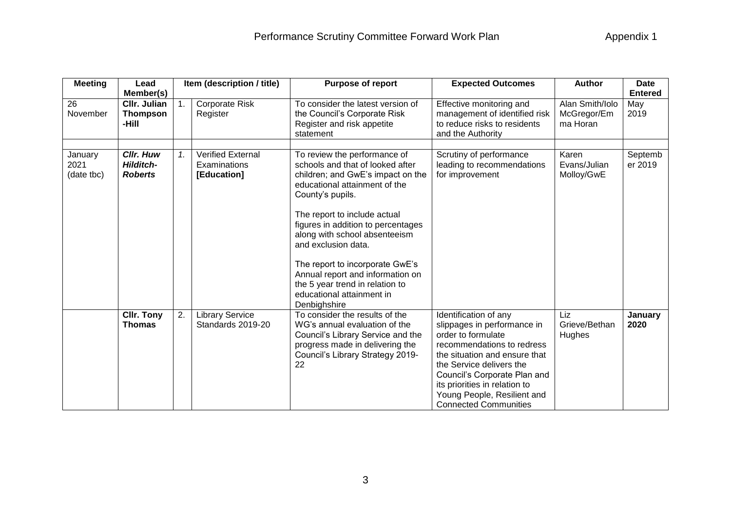| <b>Meeting</b>                | Lead                                                   |    | Item (description / title)<br><b>Purpose of report</b>  |                                                                                                                                                                                                                                                                                                                                                                                                                                                 | <b>Expected Outcomes</b>                                                                                                                                                                                                                                                                              | <b>Author</b>                              | <b>Date</b>        |  |
|-------------------------------|--------------------------------------------------------|----|---------------------------------------------------------|-------------------------------------------------------------------------------------------------------------------------------------------------------------------------------------------------------------------------------------------------------------------------------------------------------------------------------------------------------------------------------------------------------------------------------------------------|-------------------------------------------------------------------------------------------------------------------------------------------------------------------------------------------------------------------------------------------------------------------------------------------------------|--------------------------------------------|--------------------|--|
|                               | Member(s)                                              |    |                                                         |                                                                                                                                                                                                                                                                                                                                                                                                                                                 |                                                                                                                                                                                                                                                                                                       |                                            | <b>Entered</b>     |  |
| 26<br>November                | <b>CIIr. Julian</b><br><b>Thompson</b><br>-Hill        | 1. | Corporate Risk<br>Register                              | To consider the latest version of<br>the Council's Corporate Risk<br>Register and risk appetite<br>statement                                                                                                                                                                                                                                                                                                                                    | Effective monitoring and<br>management of identified risk<br>to reduce risks to residents<br>and the Authority                                                                                                                                                                                        | Alan Smith/Iolo<br>McGregor/Em<br>ma Horan | May<br>2019        |  |
| January<br>2021<br>(date tbc) | <b>CIIr. Huw</b><br><b>Hilditch-</b><br><b>Roberts</b> | 1. | <b>Verified External</b><br>Examinations<br>[Education] | To review the performance of<br>schools and that of looked after<br>children; and GwE's impact on the<br>educational attainment of the<br>County's pupils.<br>The report to include actual<br>figures in addition to percentages<br>along with school absenteeism<br>and exclusion data.<br>The report to incorporate GwE's<br>Annual report and information on<br>the 5 year trend in relation to<br>educational attainment in<br>Denbighshire | Scrutiny of performance<br>leading to recommendations<br>for improvement                                                                                                                                                                                                                              | Karen<br>Evans/Julian<br>Molloy/GwE        | Septemb<br>er 2019 |  |
|                               | <b>CIIr. Tony</b><br><b>Thomas</b>                     | 2. | <b>Library Service</b><br>Standards 2019-20             | To consider the results of the<br>WG's annual evaluation of the<br>Council's Library Service and the<br>progress made in delivering the<br>Council's Library Strategy 2019-<br>22                                                                                                                                                                                                                                                               | Identification of any<br>slippages in performance in<br>order to formulate<br>recommendations to redress<br>the situation and ensure that<br>the Service delivers the<br>Council's Corporate Plan and<br>its priorities in relation to<br>Young People, Resilient and<br><b>Connected Communities</b> | Liz<br>Grieve/Bethan<br>Hughes             | January<br>2020    |  |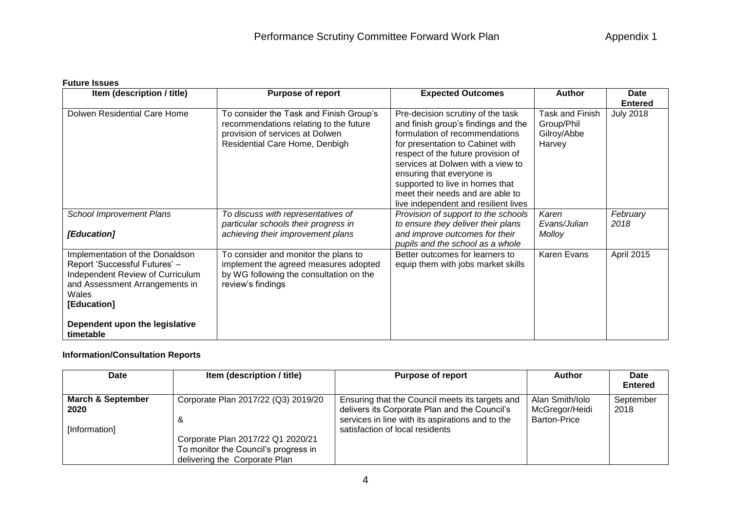## **Future Issues**

| Item (description / title)                                                                                                                                     | <b>Purpose of report</b>                                                                                                                               | <b>Expected Outcomes</b>                                                                                                                                                                                                                                                                                                                                              | <b>Author</b>                                          | <b>Date</b>      |  |
|----------------------------------------------------------------------------------------------------------------------------------------------------------------|--------------------------------------------------------------------------------------------------------------------------------------------------------|-----------------------------------------------------------------------------------------------------------------------------------------------------------------------------------------------------------------------------------------------------------------------------------------------------------------------------------------------------------------------|--------------------------------------------------------|------------------|--|
|                                                                                                                                                                |                                                                                                                                                        |                                                                                                                                                                                                                                                                                                                                                                       |                                                        | <b>Entered</b>   |  |
| Dolwen Residential Care Home                                                                                                                                   | To consider the Task and Finish Group's<br>recommendations relating to the future<br>provision of services at Dolwen<br>Residential Care Home, Denbigh | Pre-decision scrutiny of the task<br>and finish group's findings and the<br>formulation of recommendations<br>for presentation to Cabinet with<br>respect of the future provision of<br>services at Dolwen with a view to<br>ensuring that everyone is<br>supported to live in homes that<br>meet their needs and are able to<br>live independent and resilient lives | Task and Finish<br>Group/Phil<br>Gilroy/Abbe<br>Harvey | <b>July 2018</b> |  |
| <b>School Improvement Plans</b><br>[Education]                                                                                                                 | To discuss with representatives of<br>particular schools their progress in<br>achieving their improvement plans                                        | Provision of support to the schools<br>to ensure they deliver their plans<br>and improve outcomes for their<br>pupils and the school as a whole                                                                                                                                                                                                                       | Karen<br>Evans/Julian<br>Molloy                        | February<br>2018 |  |
| Implementation of the Donaldson<br>Report 'Successful Futures' -<br>Independent Review of Curriculum<br>and Assessment Arrangements in<br>Wales<br>[Education] | To consider and monitor the plans to<br>implement the agreed measures adopted<br>by WG following the consultation on the<br>review's findings          | Better outcomes for learners to<br>equip them with jobs market skills                                                                                                                                                                                                                                                                                                 | Karen Evans                                            | April 2015       |  |
| Dependent upon the legislative<br>timetable                                                                                                                    |                                                                                                                                                        |                                                                                                                                                                                                                                                                                                                                                                       |                                                        |                  |  |

## **Information/Consultation Reports**

| Date                                                  | Item (description / title)                                                                                                                             | <b>Purpose of report</b>                                                                                                                                                                | <b>Author</b>                                            | Date<br><b>Entered</b> |
|-------------------------------------------------------|--------------------------------------------------------------------------------------------------------------------------------------------------------|-----------------------------------------------------------------------------------------------------------------------------------------------------------------------------------------|----------------------------------------------------------|------------------------|
| <b>March &amp; September</b><br>2020<br>[Information] | Corporate Plan 2017/22 (Q3) 2019/20<br>&<br>Corporate Plan 2017/22 Q1 2020/21<br>To monitor the Council's progress in<br>delivering the Corporate Plan | Ensuring that the Council meets its targets and<br>delivers its Corporate Plan and the Council's<br>services in line with its aspirations and to the<br>satisfaction of local residents | Alan Smith/Iolo<br>McGregor/Heidi<br><b>Barton-Price</b> | September<br>2018      |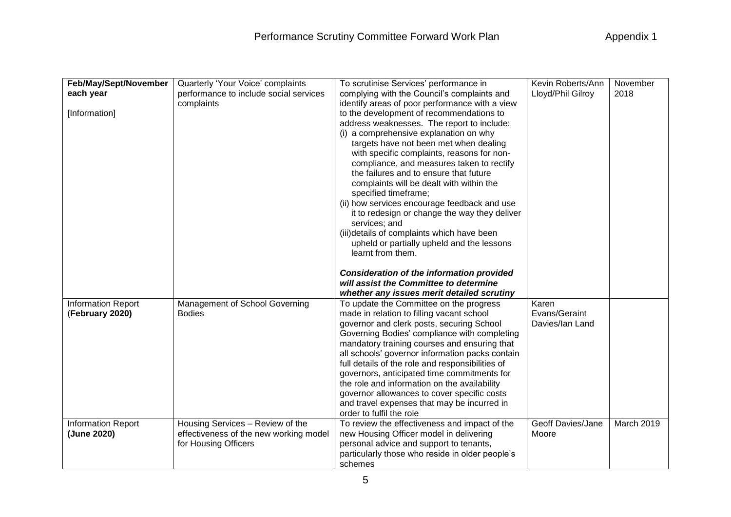| Feb/May/Sept/November<br>each year<br>[Information] | Quarterly 'Your Voice' complaints<br>performance to include social services<br>complaints          | To scrutinise Services' performance in<br>complying with the Council's complaints and<br>identify areas of poor performance with a view<br>to the development of recommendations to<br>address weaknesses. The report to include:<br>(i) a comprehensive explanation on why<br>targets have not been met when dealing<br>with specific complaints, reasons for non-<br>compliance, and measures taken to rectify<br>the failures and to ensure that future<br>complaints will be dealt with within the<br>specified timeframe;<br>(ii) how services encourage feedback and use<br>it to redesign or change the way they deliver<br>services; and<br>(iii)details of complaints which have been<br>upheld or partially upheld and the lessons<br>learnt from them. | Kevin Roberts/Ann<br>Lloyd/Phil Gilroy    | November<br>2018 |
|-----------------------------------------------------|----------------------------------------------------------------------------------------------------|-------------------------------------------------------------------------------------------------------------------------------------------------------------------------------------------------------------------------------------------------------------------------------------------------------------------------------------------------------------------------------------------------------------------------------------------------------------------------------------------------------------------------------------------------------------------------------------------------------------------------------------------------------------------------------------------------------------------------------------------------------------------|-------------------------------------------|------------------|
|                                                     |                                                                                                    | <b>Consideration of the information provided</b><br>will assist the Committee to determine<br>whether any issues merit detailed scrutiny                                                                                                                                                                                                                                                                                                                                                                                                                                                                                                                                                                                                                          |                                           |                  |
| <b>Information Report</b><br>(February 2020)        | Management of School Governing<br><b>Bodies</b>                                                    | To update the Committee on the progress<br>made in relation to filling vacant school<br>governor and clerk posts, securing School<br>Governing Bodies' compliance with completing<br>mandatory training courses and ensuring that<br>all schools' governor information packs contain<br>full details of the role and responsibilities of<br>governors, anticipated time commitments for<br>the role and information on the availability<br>governor allowances to cover specific costs<br>and travel expenses that may be incurred in<br>order to fulfil the role                                                                                                                                                                                                 | Karen<br>Evans/Geraint<br>Davies/Ian Land |                  |
| <b>Information Report</b><br>(June 2020)            | Housing Services - Review of the<br>effectiveness of the new working model<br>for Housing Officers | To review the effectiveness and impact of the<br>new Housing Officer model in delivering<br>personal advice and support to tenants,<br>particularly those who reside in older people's<br>schemes                                                                                                                                                                                                                                                                                                                                                                                                                                                                                                                                                                 | Geoff Davies/Jane<br>Moore                | March 2019       |